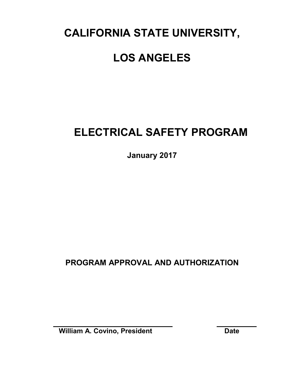# **CALIFORNIA STATE UNIVERSITY,**

# **LOS ANGELES**

# **ELECTRICAL SAFETY PROGRAM**

**January 2017**

**PROGRAM APPROVAL AND AUTHORIZATION**

**William A. Covino, President Date**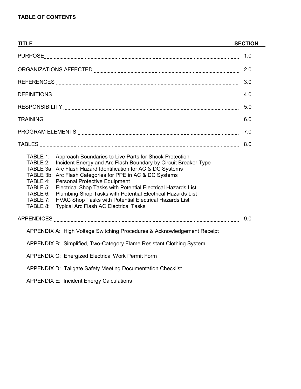| <b>TITLE</b><br><u> 1989 - Johann Stoff, deutscher Stoffen und der Stoffen und der Stoffen und der Stoffen und der Stoffen und der</u>                                                                                                                                                                                                                                                                                                                                                                                                                                                                                  | <b>SECTION</b> |
|-------------------------------------------------------------------------------------------------------------------------------------------------------------------------------------------------------------------------------------------------------------------------------------------------------------------------------------------------------------------------------------------------------------------------------------------------------------------------------------------------------------------------------------------------------------------------------------------------------------------------|----------------|
|                                                                                                                                                                                                                                                                                                                                                                                                                                                                                                                                                                                                                         | 1.0            |
|                                                                                                                                                                                                                                                                                                                                                                                                                                                                                                                                                                                                                         | 2.0            |
|                                                                                                                                                                                                                                                                                                                                                                                                                                                                                                                                                                                                                         | 3.0            |
|                                                                                                                                                                                                                                                                                                                                                                                                                                                                                                                                                                                                                         | 4.0            |
|                                                                                                                                                                                                                                                                                                                                                                                                                                                                                                                                                                                                                         | 5.0            |
|                                                                                                                                                                                                                                                                                                                                                                                                                                                                                                                                                                                                                         | 6.0            |
|                                                                                                                                                                                                                                                                                                                                                                                                                                                                                                                                                                                                                         | 7.0            |
|                                                                                                                                                                                                                                                                                                                                                                                                                                                                                                                                                                                                                         | 8.0            |
| TABLE 1: Approach Boundaries to Live Parts for Shock Protection<br>Incident Energy and Arc Flash Boundary by Circuit Breaker Type<br>TABLE 2:<br>TABLE 3a: Arc Flash Hazard Identification for AC & DC Systems<br>TABLE 3b: Arc Flash Categories for PPE in AC & DC Systems<br><b>Personal Protective Equipment</b><br>TABLE 4:<br>TABLE 5:<br>Electrical Shop Tasks with Potential Electrical Hazards List<br>Plumbing Shop Tasks with Potential Electrical Hazards List<br>TABLE 6:<br>HVAC Shop Tasks with Potential Electrical Hazards List<br>TABLE 7:<br><b>Typical Arc Flash AC Electrical Tasks</b><br>TABLE 8: |                |
|                                                                                                                                                                                                                                                                                                                                                                                                                                                                                                                                                                                                                         | 9.0            |
| APPENDIX A: High Voltage Switching Procedures & Acknowledgement Receipt                                                                                                                                                                                                                                                                                                                                                                                                                                                                                                                                                 |                |
| APPENDIX B: Simplified, Two-Category Flame Resistant Clothing System                                                                                                                                                                                                                                                                                                                                                                                                                                                                                                                                                    |                |
| <b>APPENDIX C: Energized Electrical Work Permit Form</b>                                                                                                                                                                                                                                                                                                                                                                                                                                                                                                                                                                |                |
| APPENDIX D: Tailgate Safety Meeting Documentation Checklist                                                                                                                                                                                                                                                                                                                                                                                                                                                                                                                                                             |                |
| <b>APPENDIX E: Incident Energy Calculations</b>                                                                                                                                                                                                                                                                                                                                                                                                                                                                                                                                                                         |                |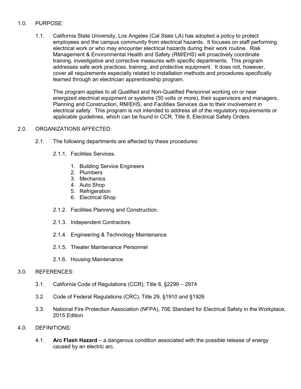#### 1.0. PURPOSE:

1.1. California State University, Los Angeles (Cal State LA) has adopted a policy to protect employees and the campus community from electrical hazards. It focuses on staff performing electrical work or who may encounter electrical hazards during their work routine. Risk Management & Environmental Health and Safety (RM/EHS) will proactively coordinate training, investigative and corrective measures with specific departments. This program addresses safe work practices, training, and protective equipment. It does not, however, cover all requirements especially related to installation methods and procedures specifically learned through an electrician apprenticeship program.

This program applies to all Qualified and Non-Qualified Personnel working on or near energized electrical equipment or systems (50 volts or more), their supervisors and managers, Planning and Construction, RM/EHS, and Facilities Services due to their involvement in electrical safety. This program is not intended to address all of the regulatory requirements or applicable guidelines, which can be found in CCR, Title 8, Electrical Safety Orders.

#### 2.0. ORGANIZATIONS AFFECTED:

- 2.1. The following departments are affected by these procedures:
	- 2.1.1. Facilities Services.
		- 1. Building Service Engineers
		- 2. Plumbers
		- 3. Mechanics
		- 4. Auto Shop
		- 5. Refrigeration
		- 6. Electrical Shop
	- 2.1.2. Facilities Planning and Construction.
	- 2.1.3. Independent Contractors
	- 2.1.4. Engineering & Technology Maintenance
	- 2.1.5. Theater Maintenance Personnel
	- 2.1.6. Housing Maintenance

#### 3.0. REFERENCES:

- 3.1. California Code of Regulations (CCR), Title 8, §2299 2974
- 3.2. Code of Federal Regulations (CRC), Title 29, §1910 and §1926
- 3.3. National Fire Protection Association (NFPA), 70E Standard for Electrical Safety in the Workplace, 2015 Edition
- 4.0. DEFINITIONS:
	- 4.1. **Arc Flash Hazard** a dangerous condition associated with the possible release of energy caused by an electric arc.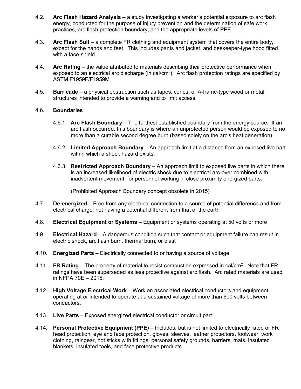- 4.2. **Arc Flash Hazard Analysis** a study investigating a worker's potential exposure to arc flash energy, conducted for the purpose of injury prevention and the determination of safe work practices, arc flash protection boundary, and the appropriate levels of PPE.
- 4.3. **Arc Flash Suit** a complete FR clothing and equipment system that covers the entire body, except for the hands and feet. This includes pants and jacket, and beekeeper-type hood fitted with a face-shield.
- 4.4. **Arc Rating** the value attributed to materials describing their protective performance when exposed to an electrical arc discharge (in cal/cm<sup>2</sup>). Arc flash protection ratings are specified by ASTM F1959F/F1959M.
- 4.5. **Barricade** a physical obstruction such as tapes, cones, or A-frame-type wood or metal structures intended to provide a warning and to limit access.

#### 4.6. **Boundaries**

- 4.6.1. **Arc Flash Boundary** The farthest established boundary from the energy source. If an arc flash occurred, this boundary is where an unprotected person would be exposed to no more than a curable second degree burn (based solely on the arc's heat generation).
- 4.6.2. **Limited Approach Boundary** An approach limit at a distance from an exposed live part within which a shock hazard exists.
- 4.6.3. **Restricted Approach Boundary** An approach limit to exposed live parts in which there is an increased likelihood of electric shock due to electrical arc-over combined with inadvertent movement, for personnel working in close proximity energized parts.

(Prohibited Approach Boundary concept obsolete in 2015)

- 4.7. **De-energized** Free from any electrical connection to a source of potential difference and from electrical charge; not having a potential different from that of the earth
- 4.8. **Electrical Equipment or Systems** Equipment or systems operating at 50 volts or more
- 4.9. **Electrical Hazard** A dangerous condition such that contact or equipment failure can result in electric shock, arc flash burn, thermal burn, or blast
- 4.10. **Energized Parts** Electrically connected to or having a source of voltage
- 4.11. **FR Rating** The property of material to resist combustion expressed in cal/cm2 . Note that FR ratings have been superseded as less protective against arc flash. Arc rated materials are used in NFPA 70E – 2015.
- 4.12. **High Voltage Electrical Work** Work on associated electrical conductors and equipment operating at or intended to operate at a sustained voltage of more than 600 volts between conductors.
- 4.13. **Live Parts** Exposed energized electrical conductor or circuit part.
- 4.14. **Personal Protective Equipment (PPE**) Includes, but is not limited to electrically rated or FR head protection, eye and face protection, gloves, sleeves, leather protectors, footwear, work clothing, raingear, hot sticks with fittings, personal safety grounds, barriers, mats, insulated blankets, insulated tools, and face protective products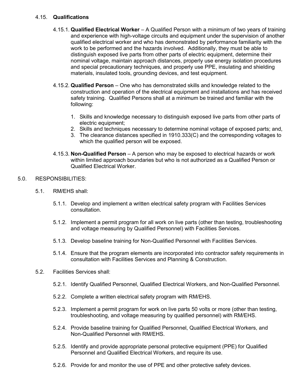#### 4.15. **Qualifications**

- 4.15.1. **Qualified Electrical Worker** A Qualified Person with a minimum of two years of training and experience with high-voltage circuits and equipment under the supervision of another qualified electrical worker and who has demonstrated by performance familiarity with the work to be performed and the hazards involved. Additionally, they must be able to distinguish exposed live parts from other parts of electric equipment, determine their nominal voltage, maintain approach distances, properly use energy isolation procedures and special precautionary techniques, and properly use PPE, insulating and shielding materials, insulated tools, grounding devices, and test equipment.
- 4.15.2. **Qualified Person** One who has demonstrated skills and knowledge related to the construction and operation of the electrical equipment and installations and has received safety training. Qualified Persons shall at a minimum be trained and familiar with the following:
	- 1. Skills and knowledge necessary to distinguish exposed live parts from other parts of electric equipment;
	- 2. Skills and techniques necessary to determine nominal voltage of exposed parts; and,
	- 3. The clearance distances specified in 1910.333(C) and the corresponding voltages to which the qualified person will be exposed.
- 4.15.3. **Non-Qualified Person** A person who may be exposed to electrical hazards or work within limited approach boundaries but who is not authorized as a Qualified Person or Qualified Electrical Worker.

#### 5.0. RESPONSIBILITIES:

- 5.1. RM/EHS shall:
	- 5.1.1. Develop and implement a written electrical safety program with Facilities Services consultation.
	- 5.1.2. Implement a permit program for all work on live parts (other than testing, troubleshooting and voltage measuring by Qualified Personnel) with Facilities Services.
	- 5.1.3. Develop baseline training for Non-Qualified Personnel with Facilities Services.
	- 5.1.4. Ensure that the program elements are incorporated into contractor safety requirements in consultation with Facilities Services and Planning & Construction.
- 5.2. Facilities Services shall:
	- 5.2.1. Identify Qualified Personnel, Qualified Electrical Workers, and Non-Qualified Personnel.
	- 5.2.2. Complete a written electrical safety program with RM/EHS.
	- 5.2.3. Implement a permit program for work on live parts 50 volts or more (other than testing, troubleshooting, and voltage measuring by qualified personnel) with RM/EHS.
	- 5.2.4. Provide baseline training for Qualified Personnel, Qualified Electrical Workers, and Non-Qualified Personnel with RM/EHS.
	- 5.2.5. Identify and provide appropriate personal protective equipment (PPE) for Qualified Personnel and Qualified Electrical Workers, and require its use.
	- 5.2.6. Provide for and monitor the use of PPE and other protective safety devices.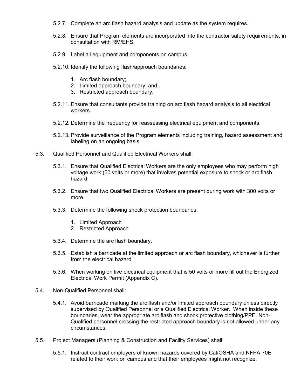- 5.2.7. Complete an arc flash hazard analysis and update as the system requires.
- 5.2.8. Ensure that Program elements are incorporated into the contractor safety requirements, in consultation with RM/EHS.
- 5.2.9. Label all equipment and components on campus.
- 5.2.10. Identify the following flash/approach boundaries:
	- 1. Arc flash boundary;
	- 2. Limited approach boundary; and,
	- 3. Restricted approach boundary.
- 5.2.11. Ensure that consultants provide training on arc flash hazard analysis to all electrical workers.
- 5.2.12. Determine the frequency for reassessing electrical equipment and components.
- 5.2.13. Provide surveillance of the Program elements including training, hazard assessment and labeling on an ongoing basis.
- 5.3. Qualified Personnel and Qualified Electrical Workers shall:
	- 5.3.1. Ensure that Qualified Electrical Workers are the only employees who may perform high voltage work (50 volts or more) that involves potential exposure to shock or arc flash hazard.
	- 5.3.2. Ensure that two Qualified Electrical Workers are present during work with 300 volts or more.
	- 5.3.3. Determine the following shock protection boundaries.
		- 1. Limited Approach
		- 2. Restricted Approach
	- 5.3.4. Determine the arc flash boundary.
	- 5.3.5. Establish a barricade at the limited approach or arc flash boundary, whichever is further from the electrical hazard.
	- 5.3.6. When working on live electrical equipment that is 50 volts or more fill out the Energized Electrical Work Permit (Appendix C).
- 5.4. Non-Qualified Personnel shall:
	- 5.4.1. Avoid barricade marking the arc flash and/or limited approach boundary unless directly supervised by Qualified Personnel or a Qualified Electrical Worker. When inside these boundaries, wear the appropriate arc flash and shock protective clothing/PPE. Non-Qualified personnel crossing the restricted approach boundary is not allowed under any circumstances.
- 5.5. Project Managers (Planning & Construction and Facility Services) shall:
	- 5.5.1. Instruct contract employers of known hazards covered by Cal/OSHA and NFPA 70E related to their work on campus and that their employees might not recognize.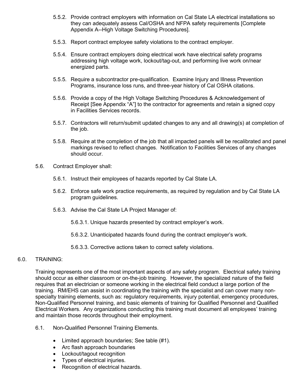- 5.5.2. Provide contract employers with information on Cal State LA electrical installations so they can adequately assess Cal/OSHA and NFPA safety requirements [Complete Appendix A--High Voltage Switching Procedures].
- 5.5.3. Report contract employee safety violations to the contract employer.
- 5.5.4. Ensure contract employers doing electrical work have electrical safety programs addressing high voltage work, lockout/tag-out, and performing live work on/near energized parts.
- 5.5.5. Require a subcontractor pre-qualification. Examine Injury and Illness Prevention Programs, insurance loss runs, and three-year history of Cal OSHA citations.
- 5.5.6. Provide a copy of the High Voltage Switching Procedures & Acknowledgement of Receipt [See Appendix "A"] to the contractor for agreements and retain a signed copy in Facilities Services records.
- 5.5.7. Contractors will return/submit updated changes to any and all drawing(s) at completion of the job.
- 5.5.8. Require at the completion of the job that all impacted panels will be recalibrated and panel markings revised to reflect changes. Notification to Facilities Services of any changes should occur.
- 5.6. Contract Employer shall:
	- 5.6.1. Instruct their employees of hazards reported by Cal State LA.
	- 5.6.2. Enforce safe work practice requirements, as required by regulation and by Cal State LA program guidelines.
	- 5.6.3. Advise the Cal State LA Project Manager of:
		- 5.6.3.1. Unique hazards presented by contract employer's work.
		- 5.6.3.2. Unanticipated hazards found during the contract employer's work.
		- 5.6.3.3. Corrective actions taken to correct safety violations.

#### 6.0. TRAINING:

Training represents one of the most important aspects of any safety program. Electrical safety training should occur as either classroom or on-the-job training. However, the specialized nature of the field requires that an electrician or someone working in the electrical field conduct a large portion of the training. RM/EHS can assist in coordinating the training with the specialist and can cover many nonspecialty training elements, such as: regulatory requirements, injury potential, emergency procedures, Non-Qualified Personnel training, and basic elements of training for Qualified Personnel and Qualified Electrical Workers. Any organizations conducting this training must document all employees' training and maintain those records throughout their employment.

- 6.1. Non-Qualified Personnel Training Elements.
	- Limited approach boundaries; See table (#1).
	- Arc flash approach boundaries
	- Lockout/tagout recognition
	- Types of electrical injuries.
	- Recognition of electrical hazards.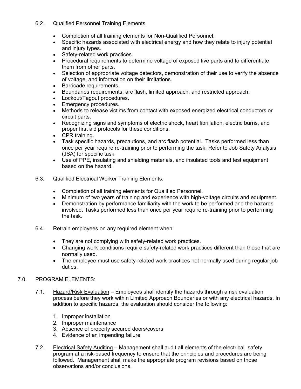- 6.2. Qualified Personnel Training Elements.
	- Completion of all training elements for Non-Qualified Personnel.
	- Specific hazards associated with electrical energy and how they relate to injury potential and injury types.
	- Safety-related work practices.
	- Procedural requirements to determine voltage of exposed live parts and to differentiate them from other parts.
	- Selection of appropriate voltage detectors, demonstration of their use to verify the absence of voltage, and information on their limitations.
	- Barricade requirements.
	- Boundaries requirements: arc flash, limited approach, and restricted approach.
	- Lockout/Tagout procedures.
	- Emergency procedures.
	- Methods to release victims from contact with exposed energized electrical conductors or circuit parts.
	- Recognizing signs and symptoms of electric shock, heart fibrillation, electric burns, and proper first aid protocols for these conditions.
	- CPR training.
	- Task specific hazards, precautions, and arc flash potential. Tasks performed less than once per year require re-training prior to performing the task. Refer to Job Safety Analysis (JSA) for specific task.
	- Use of PPE, insulating and shielding materials, and insulated tools and test equipment based on the hazard.
- 6.3. Qualified Electrical Worker Training Elements.
	- Completion of all training elements for Qualified Personnel.
	- Minimum of two years of training and experience with high-voltage circuits and equipment.
	- Demonstration by performance familiarity with the work to be performed and the hazards involved. Tasks performed less than once per year require re-training prior to performing the task.
- 6.4. Retrain employees on any required element when:
	- They are not complying with safety-related work practices.
	- Changing work conditions require safety-related work practices different than those that are normally used.
	- The employee must use safety-related work practices not normally used during regular job duties.

#### 7.0. PROGRAM ELEMENTS:

- 7.1. Hazard/Risk Evaluation Employees shall identify the hazards through a risk evaluation process before they work within Limited Approach Boundaries or with any electrical hazards. In addition to specific hazards, the evaluation should consider the following:
	- 1. Improper installation
	- 2. Improper maintenance
	- 3. Absence of properly secured doors/covers
	- 4. Evidence of an impending failure
- 7.2. Electrical Safety Auditing Management shall audit all elements of the electrical safety program at a risk-based frequency to ensure that the principles and procedures are being followed. Management shall make the appropriate program revisions based on those observations and/or conclusions.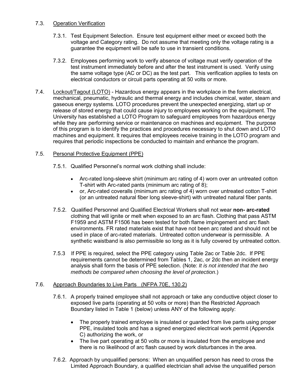#### 7.3. Operation Verification

- 7.3.1. Test Equipment Selection. Ensure test equipment either meet or exceed both the voltage and Category rating. Do not assume that meeting only the voltage rating is a guarantee the equipment will be safe to use in transient conditions.
- 7.3.2. Employees performing work to verify absence of voltage must verify operation of the test instrument immediately before and after the test instrument is used. Verify using the same voltage type (AC or DC) as the test part. This verification applies to tests on electrical conductors or circuit parts operating at 50 volts or more.
- 7.4. Lockout/Tagout (LOTO) Hazardous energy appears in the workplace in the form electrical, mechanical, pneumatic, hydraulic and thermal energy and includes chemical, water, steam and gaseous energy systems. LOTO procedures prevent the unexpected energizing, start up or release of stored energy that could cause injury to employees working on the equipment. The University has established a [LOTO Program](http://ehis/OHS/OCCSafety/LockoutAndTagoutProgram.aspx) to safeguard employees from hazardous energy while they are performing service or maintenance on machines and equipment. The purpose of this program is to identify the practices and procedures necessary to shut down and LOTO machines and equipment. It requires that employees receive training in the LOTO program and requires that periodic inspections be conducted to maintain and enhance the program.

# 7.5. Personal Protective Equipment (PPE)

- 7.5.1. Qualified Personnel's normal work clothing shall include:
	- Arc-rated long-sleeve shirt (minimum arc rating of 4) worn over an untreated cotton T-shirt with Arc-rated pants (minimum arc rating of 8);
	- or, Arc-rated coveralls (minimum arc rating of 4) worn over untreated cotton T-shirt (or an untreated natural fiber long sleeve-shirt) with untreated natural fiber pants.
- 7.5.2. Qualified Personnel and Qualified Electrical Workers shall not wear **non- arc-rated** clothing that will ignite or melt when exposed to an arc flash. Clothing that pass ASTM F1959 and ASTM F1506 has been tested for both flame impingement and arc flash environments. FR rated materials exist that have not been arc rated and should not be used in place of arc-rated materials. Untreated cotton underwear is permissible. A synthetic waistband is also permissible so long as it is fully covered by untreated cotton.
- 7.5.3 If PPE is required, select the PPE category using Table 2ac or Table 2dc. If PPE requirements cannot be determined from Tables 1, 2ac, or 2dc then an incident energy analysis shall form the basis of PPE selection. (Note: *It is not intended that the two methods be compared when choosing the level of protection*.)

#### 7.6. Approach Boundaries to Live Parts (NFPA 70E, 130.2)

- 7.6.1. A properly trained employee shall not approach or take any conductive object closer to exposed live parts (operating at 50 volts or more) than the Restricted Approach Boundary listed in Table 1 (below) unless ANY of the following apply:
	- The properly trained employee is insulated or guarded from live parts using proper PPE, insulated tools and has a signed energized electrical work permit (Appendix C) authorizing the work, or
	- The live part operating at 50 volts or more is insulated from the employee and there is no likelihood of arc flash caused by work disturbances in the area.
- 7.6.2. Approach by unqualified persons: When an unqualified person has need to cross the Limited Approach Boundary, a qualified electrician shall advise the unqualified person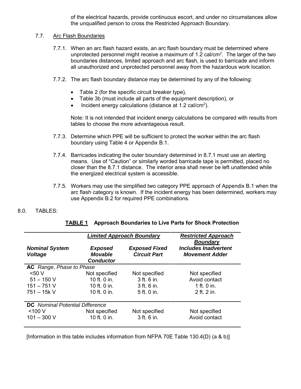of the electrical hazards, provide continuous escort, and under no circumstances allow the unqualified person to cross the Restricted Approach Boundary.

#### 7.7. Arc Flash Boundaries

- 7.7.1. When an arc flash hazard exists, an arc flash boundary must be determined where unprotected personnel might receive a maximum of 1.2 cal/cm<sup>2</sup>. The larger of the two boundaries distances, limited approach and arc flash, is used to barricade and inform all unauthorized and unprotected personnel away from the hazardous work location.
- 7.7.2. The arc flash boundary distance may be determined by any of the following:
	- Table 2 (for the specific circuit breaker type),
	- Table 3b (must include all parts of the equipment description), or
	- Incident energy calculations (distance at 1.2 cal/cm<sup>2</sup>).

Note: It is not intended that incident energy calculations be compared with results from tables to choose the more advantageous result.

- 7.7.3. Determine which PPE will be sufficient to protect the worker within the arc flash boundary using Table 4 or Appendix B.1.
- 7.7.4. Barricades indicating the outer boundary determined in 8.7.1 must use an alerting means. Use of "Caution" or similarly worded barricade tape is permitted, placed no closer than the 8.7.1 distance. The interior area shall never be left unattended while the energized electrical system is accessible.
- 7.7.5. Workers may use the simplified two category PPE approach of Appendix B.1 when the arc flash category is known. If the incident energy has been determined, workers may use Appendix B.2 for required PPE combinations.

#### 8.0. TABLES:

|                                         | <b>Limited Approach Boundary</b>                     |                                             | <b>Restricted Approach</b><br><b>Boundary</b>        |
|-----------------------------------------|------------------------------------------------------|---------------------------------------------|------------------------------------------------------|
| <b>Nominal System</b><br><b>Voltage</b> | <b>Exposed</b><br><b>Movable</b><br><b>Conductor</b> | <b>Exposed Fixed</b><br><b>Circuit Part</b> | <b>Includes Inadvertent</b><br><b>Movement Adder</b> |
| <b>AC</b> Range, Phase to Phase         |                                                      |                                             |                                                      |
| 50V                                     | Not specified                                        | Not specified                               | Not specified                                        |
| $51 - 150$ V                            | 10 ft. 0 in.                                         | 3 ft. 6 in.                                 | Avoid contact                                        |
| $151 - 751$ V                           | 10 ft. 0 in.                                         | 3 ft. 6 in.                                 | 1 ft. 0 in.                                          |
| $751 - 15k$ V                           | 10 ft. 0 in.                                         | 5 ft. 0 in.                                 | 2 ft. 2 in.                                          |
| <b>DC</b> Nominal Potential Difference  |                                                      |                                             |                                                      |
| $<$ 100 V                               | Not specified                                        | Not specified                               | Not specified                                        |
| $101 - 300$ V                           | 10 ft. 0 in.                                         | 3 ft. 6 in.                                 | Avoid contact                                        |

#### **TABLE 1 Approach Boundaries to Live Parts for Shock Protection**

[Information in this table includes information from NFPA 70E Table 130.4(D) (a & b)]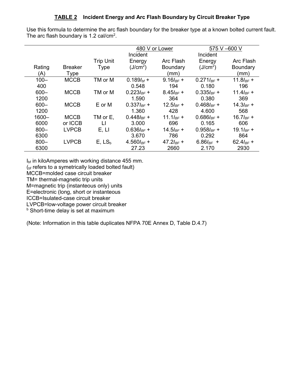### **TABLE 2 Incident Energy and Arc Flash Boundary by Circuit Breaker Type**

Use this formula to determine the arc flash boundary for the breaker type at a known bolted current fault. The arc flash boundary is 1.2 cal/cm<sup>2</sup>.

|          |                |                  | 480 V or Lower          |                        | 575 V -600 V            |                 |
|----------|----------------|------------------|-------------------------|------------------------|-------------------------|-----------------|
|          |                |                  | Incident                |                        | Incident                |                 |
|          |                | <b>Trip Unit</b> | Energy                  | Arc Flash              | Energy                  | Arc Flash       |
| Rating   | <b>Breaker</b> | Type             | (J/cm <sup>2</sup> )    | <b>Boundary</b>        | (J/cm <sup>2</sup> )    | <b>Boundary</b> |
| (A)      | Type           |                  |                         | (mm)                   |                         | (mm)            |
| $100 -$  | <b>MCCB</b>    | TM or M          | $0.189I_{\text{bf}}$ +  | $9.16$ <sub>BF</sub> + | $0.271I_{BF}$ +         | $11.8I_{BF} +$  |
| 400      |                |                  | 0.548                   | 194                    | 0.180                   | 196             |
| $600 -$  | <b>MCCB</b>    | TM or M          | $0.223I_{BF}$ +         | $8.45I_{BF}$ +         | $0.335I_{BF}$ +         | 11.4 $I_{BF}$ + |
| 1200     |                |                  | 1.590                   | 364                    | 0.380                   | 369             |
| $600 -$  | <b>MCCB</b>    | E or M           | $0.337I_{BF}$ +         | $12.5I_{BF} +$         | $0.468$ <sub>BF</sub> + | $14.3I_{BF} +$  |
| 1200     |                |                  | 1.360                   | 428                    | 4.600                   | 568             |
| $1600 -$ | <b>MCCB</b>    | TM or E.         | $0.448$ <sub>BF</sub> + | 11.1 $I_{BF}$ +        | $0.686I_{BF}$ +         | $16.7I_{BF} +$  |
| 6000     | or ICCB        | Ħ                | 3.000                   | 696                    | 0.165                   | 606             |
| $800 -$  | <b>LVPCB</b>   | E, LI            | $0.636I_{BF} +$         | $14.5I_{BF} +$         | $0.958I_{BF}$ +         | 19.1 $I_{BF}$ + |
| 6300     |                |                  | 3.670                   | 786                    | 0.292                   | 864             |
| $800 -$  | <b>LVPCB</b>   | $E, LS_b$        | 4.560 $I_{BF}$ +        | $47.2I_{BF}$ +         | 6.86 $I_{BF}$ +         | 62.4 $I_{BF}$ + |
| 6300     |                |                  | 27.23                   | 2660                   | 2.170                   | 2930            |

I<sub>bf</sub> in kiloAmperes with working distance 455 mm.

(bf refers to a symetrically loaded bolted fault)

MCCB=molded case circuit breaker

TM= thermal-magnetic trip units

M=magnetic trip (instanteous only) units

E=electronic (long, short or instanteous

ICCB=Isulated-case circuit breaker

LVPCB=low-voltage power circuit breaker

**b** Short-time delay is set at maximum

(Note: Information in this table duplicates NFPA 70E Annex D, Table D.4.7)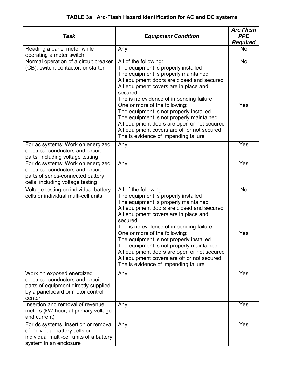# **TABLE 3a Arc-Flash Hazard Identification for AC and DC systems**

| <b>Task</b>                                                                                                                                          | <b>Equipment Condition</b>                                                                                                                                                                                                                                 | <b>Arc Flash</b><br><b>PPE</b><br><b>Required</b> |
|------------------------------------------------------------------------------------------------------------------------------------------------------|------------------------------------------------------------------------------------------------------------------------------------------------------------------------------------------------------------------------------------------------------------|---------------------------------------------------|
| Reading a panel meter while<br>operating a meter switch                                                                                              | Any                                                                                                                                                                                                                                                        | <b>No</b>                                         |
| Normal operation of a circuit breaker<br>(CB), switch, contactor, or starter                                                                         | All of the following:<br>The equipment is properly installed<br>The equipment is properly maintained<br>All equipment doors are closed and secured<br>All equipment covers are in place and<br>secured<br>The is no evidence of impending failure          | <b>No</b>                                         |
|                                                                                                                                                      | One or more of the following:<br>The equipment is not properly installed<br>The equipment is not properly maintained<br>All equipment doors are open or not secured<br>All equipment covers are off or not secured<br>The is evidence of impending failure | Yes                                               |
| For ac systems: Work on energized<br>electrical conductors and circuit<br>parts, including voltage testing                                           | Any                                                                                                                                                                                                                                                        | Yes                                               |
| For dc systems: Work on energized<br>electrical conductors and circuit<br>parts of series-connected battery<br>cells, including voltage testing      | Any                                                                                                                                                                                                                                                        | Yes                                               |
| Voltage testing on individual battery<br>cells or individual multi-cell units                                                                        | All of the following:<br>The equipment is properly installed<br>The equipment is properly maintained<br>All equipment doors are closed and secured<br>All equipment covers are in place and<br>secured<br>The is no evidence of impending failure          | No                                                |
|                                                                                                                                                      | One or more of the following:<br>The equipment is not properly installed<br>The equipment is not properly maintained<br>All equipment doors are open or not secured<br>All equipment covers are off or not secured<br>The is evidence of impending failure | Yes                                               |
| Work on exposed energized<br>electrical conductors and circuit<br>parts of equipment directly supplied<br>by a panelboard or motor control<br>center | Any                                                                                                                                                                                                                                                        | Yes                                               |
| Insertion and removal of revenue<br>meters (kW-hour, at primary voltage<br>and current)                                                              | Any                                                                                                                                                                                                                                                        | Yes                                               |
| For dc systems, insertion or removal<br>of individual battery cells or<br>individual multi-cell units of a battery<br>system in an enclosure         | Any                                                                                                                                                                                                                                                        | Yes                                               |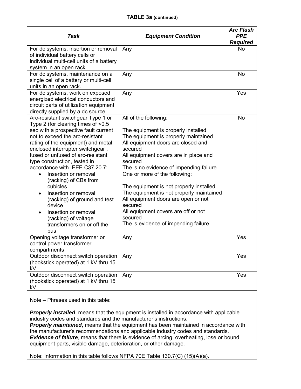#### **TABLE 3a (continued)**

| Task                                                                                                                                                                                                                                                                                                                                                                                                                                                                                                                                                     | <b>Equipment Condition</b>                                                                                                                                                                                                                                                                                                                                                                                                                                                                                               | <b>Arc Flash</b><br><b>PPE</b><br><b>Required</b> |
|----------------------------------------------------------------------------------------------------------------------------------------------------------------------------------------------------------------------------------------------------------------------------------------------------------------------------------------------------------------------------------------------------------------------------------------------------------------------------------------------------------------------------------------------------------|--------------------------------------------------------------------------------------------------------------------------------------------------------------------------------------------------------------------------------------------------------------------------------------------------------------------------------------------------------------------------------------------------------------------------------------------------------------------------------------------------------------------------|---------------------------------------------------|
| For dc systems, insertion or removal<br>of individual battery cells or<br>individual multi-cell units of a battery<br>system in an open rack.                                                                                                                                                                                                                                                                                                                                                                                                            | Any                                                                                                                                                                                                                                                                                                                                                                                                                                                                                                                      | <b>No</b>                                         |
| For dc systems, maintenance on a<br>single cell of a battery or multi-cell<br>units in an open rack.                                                                                                                                                                                                                                                                                                                                                                                                                                                     | Any                                                                                                                                                                                                                                                                                                                                                                                                                                                                                                                      | No                                                |
| For dc systems, work on exposed<br>energized electrical conductors and<br>circuit parts of utilization equipment<br>directly supplied by a dc source                                                                                                                                                                                                                                                                                                                                                                                                     | Any                                                                                                                                                                                                                                                                                                                                                                                                                                                                                                                      | Yes                                               |
| Arc-resistant switchgear Type 1 or<br>Type 2 (for clearing times of <0.5<br>sec with a prospective fault current<br>not to exceed the arc-resistant<br>rating of the equipment) and metal<br>enclosed interrupter switchgear,<br>fused or unfused of arc-resistant<br>type construction, tested in<br>accordance with IEEE C37.20.7:<br>Insertion or removal<br>(racking) of CBs from<br>cubicles<br>Insertion or removal<br>(racking) of ground and test<br>device<br>Insertion or removal<br>(racking) of voltage<br>transformers on or off the<br>bus | All of the following:<br>The equipment is properly installed<br>The equipment is properly maintained<br>All equipment doors are closed and<br>secured<br>All equipment covers are in place and<br>secured<br>The is no evidence of impending failure<br>One or more of the following:<br>The equipment is not properly installed<br>The equipment is not properly maintained<br>All equipment doors are open or not<br>secured<br>All equipment covers are off or not<br>secured<br>The is evidence of impending failure | No                                                |
| Opening voltage transformer or<br>control power transformer<br>compartments                                                                                                                                                                                                                                                                                                                                                                                                                                                                              | Any                                                                                                                                                                                                                                                                                                                                                                                                                                                                                                                      | Yes                                               |
| Outdoor disconnect switch operation<br>(hookstick operated) at 1 kV thru 15<br>kV                                                                                                                                                                                                                                                                                                                                                                                                                                                                        | Any                                                                                                                                                                                                                                                                                                                                                                                                                                                                                                                      | Yes                                               |
| Outdoor disconnect switch operation<br>(hookstick operated) at 1 kV thru 15<br>kV                                                                                                                                                                                                                                                                                                                                                                                                                                                                        | Any                                                                                                                                                                                                                                                                                                                                                                                                                                                                                                                      | Yes                                               |

Note – Phrases used in this table:

**Properly installed**, means that the equipment is installed in accordance with applicable industry codes and standards and the manufacturer's instructions.

**Properly maintained**, means that the equipment has been maintained in accordance with the manufacturer's recommendations and applicable industry codes and standards. **Evidence of failure**, means that there is evidence of arcing, overheating, lose or bound equipment parts, visible damage, deterioration, or other damage.

Note: Information in this table follows NFPA 70E Table 130.7(C) (15)(A)(a).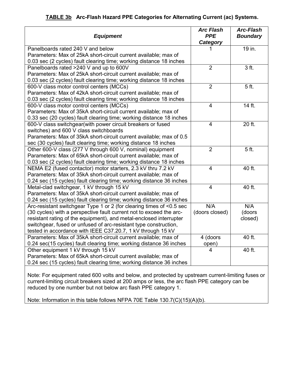|  | <b>TABLE 3b</b> Arc-Flash Hazard PPE Categories for Alternating Current (ac) Systems. |  |  |  |  |
|--|---------------------------------------------------------------------------------------|--|--|--|--|
|--|---------------------------------------------------------------------------------------|--|--|--|--|

| <b>Equipment</b>                                                     | <b>Arc Flash</b><br><b>PPE</b><br>Category | <b>Arc-Flash</b><br><b>Boundary</b> |
|----------------------------------------------------------------------|--------------------------------------------|-------------------------------------|
| Panelboards rated 240 V and below                                    |                                            | 19 in.                              |
| Parameters: Max of 25kA short-circuit current available; max of      |                                            |                                     |
| 0.03 sec (2 cycles) fault clearing time; working distance 18 inches  |                                            |                                     |
| Panelboards rated >240 V and up to 600V                              | $\overline{2}$                             | $\overline{3}$ ft.                  |
| Parameters: Max of 25kA short-circuit current available; max of      |                                            |                                     |
| 0.03 sec (2 cycles) fault clearing time; working distance 18 inches  |                                            |                                     |
| 600-V class motor control centers (MCCs)                             | $\overline{2}$                             | 5 <sub>ft.</sub>                    |
| Parameters: Max of 42kA short-circuit current available; max of      |                                            |                                     |
| 0.03 sec (2 cycles) fault clearing time; working distance 18 inches  |                                            |                                     |
| 600-V class motor control centers (MCCs)                             | $\overline{\mathbf{4}}$                    | 14 ft.                              |
| Parameters: Max of 35kA short-circuit current available; max of      |                                            |                                     |
| 0.33 sec (20 cycles) fault clearing time; working distance 18 inches |                                            |                                     |
| 600-V class switchgear(with power circuit breakers or fused          | $\overline{4}$                             | 20 ft.                              |
| switches) and 600 V class switchboards                               |                                            |                                     |
| Parameters: Max of 35kA short-circuit current available; max of 0.5  |                                            |                                     |
| sec (30 cycles) fault clearing time; working distance 18 inches      |                                            |                                     |
| Other 600-V class (277 V through 600 V, nominal) equipment           | $\overline{2}$                             | 5 <sub>ft.</sub>                    |
| Parameters: Max of 65kA short-circuit current available; max of      |                                            |                                     |
| 0.03 sec (2 cycles) fault clearing time; working distance 18 inches  |                                            |                                     |
| NEMA E2 (fused contactor) motor starters, 2.3 kV thru 7.2 kV         | 4                                          | 40 ft.                              |
| Parameters: Max of 35kA short-circuit current available; max of      |                                            |                                     |
| 0.24 sec (15 cycles) fault clearing time; working distance 36 inches |                                            |                                     |
| Metal-clad switchgear, 1 kV through 15 kV                            | $\overline{4}$                             | 40 ft.                              |
| Parameters: Max of 35kA short-circuit current available; max of      |                                            |                                     |
| 0.24 sec (15 cycles) fault clearing time; working distance 36 inches |                                            |                                     |
| Arc-resistant switchgear Type 1 or 2 (for clearing times of <0.5 sec | N/A                                        | N/A                                 |
| (30 cycles) with a perspective fault current not to exceed the arc-  | (doors closed)                             | (doors                              |
| resistant rating of the equipment), and metal-enclosed interrupter   |                                            | closed)                             |
| switchgear, fused or unfused of arc-resistant type construction,     |                                            |                                     |
| tested in accordance with IEEE C37.20.7, 1 kV through 15 kV          |                                            |                                     |
| Parameters: Max of 35kA short-circuit current available; max of      | 4 (doors                                   | 40 ft.                              |
| 0.24 sec(15 cycles) fault clearing time; working distance 36 inches  | open)                                      |                                     |
| Other equipment 1 kV through 15 kV                                   | 4                                          | 40 ft.                              |
| Parameters: Max of 65kA short-circuit current available; max of      |                                            |                                     |
| 0.24 sec (15 cycles) fault clearing time; working distance 36 inches |                                            |                                     |

Note: For equipment rated 600 volts and below, and protected by upstream current-limiting fuses or current-limiting circuit breakers sized at 200 amps or less, the arc flash PPE category can be reduced by one number but not below arc flash PPE category 1.

Note: Information in this table follows NFPA 70E Table 130.7(C)(15)(A)(b).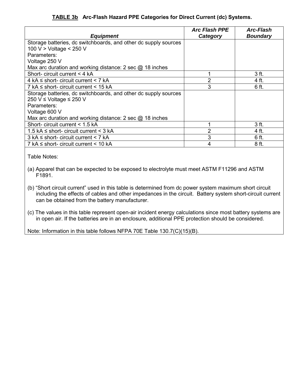# **TABLE 3b Arc-Flash Hazard PPE Categories for Direct Current (dc) Systems.**

| <b>Equipment</b>                                                | <b>Arc Flash PPE</b><br>Category | <b>Arc-Flash</b><br><b>Boundary</b> |
|-----------------------------------------------------------------|----------------------------------|-------------------------------------|
| Storage batteries, dc switchboards, and other dc supply sources |                                  |                                     |
| 100 V > Voltage < 250 V                                         |                                  |                                     |
| Parameters:                                                     |                                  |                                     |
| Voltage 250 V                                                   |                                  |                                     |
| Max arc duration and working distance: 2 sec $\omega$ 18 inches |                                  |                                     |
| Short- circuit current < 4 kA                                   |                                  | 3 ft.                               |
| $4$ kA $\le$ short- circuit current $\le$ 7 kA                  | 2                                | 4 ft.                               |
| 7 kA $\le$ short- circuit current $<$ 15 kA                     | 3                                | 6 ft.                               |
| Storage batteries, dc switchboards, and other dc supply sources |                                  |                                     |
| 250 V ≤ Voltage ≤ 250 V                                         |                                  |                                     |
| Parameters:                                                     |                                  |                                     |
| Voltage 600 V                                                   |                                  |                                     |
| Max arc duration and working distance: 2 sec $\omega$ 18 inches |                                  |                                     |
| Short- circuit current < 1.5 kA                                 |                                  | 3 ft.                               |
| 1.5 kA $\le$ short- circuit current $\le$ 3 kA                  | 2                                | 4 ft.                               |
| $3$ kA $\le$ short- circuit current $\le$ 7 kA                  | 3                                | 6 ft.                               |
| 7 kA $\le$ short- circuit current $<$ 10 kA                     |                                  | 8 ft.                               |

Table Notes:

- (a) Apparel that can be expected to be exposed to electrolyte must meet ASTM F11296 and ASTM F1891.
- (b) "Short circuit current" used in this table is determined from dc power system maximum short circuit including the effects of cables and other impedances in the circuit. Battery system short-circuit current can be obtained from the battery manufacturer.
- (c) The values in this table represent open-air incident energy calculations since most battery systems are in open air. If the batteries are in an enclosure, additional PPE protection should be considered.

Note: Information in this table follows NFPA 70E Table 130.7(C)(15)(B).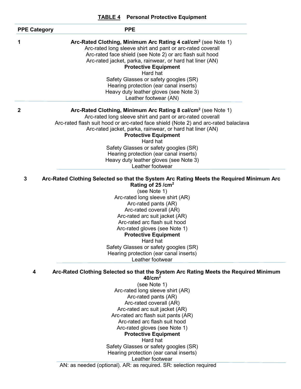|                     | <b>TABLE 4</b> Personal Protective Equipment                                                                                                                                                                                                                                                                                                                                                                                                                                            |
|---------------------|-----------------------------------------------------------------------------------------------------------------------------------------------------------------------------------------------------------------------------------------------------------------------------------------------------------------------------------------------------------------------------------------------------------------------------------------------------------------------------------------|
| <b>PPE Category</b> | <b>PPE</b>                                                                                                                                                                                                                                                                                                                                                                                                                                                                              |
| 1                   | Arc-Rated Clothing, Minimum Arc Rating 4 cal/cm <sup>2</sup> (see Note 1)<br>Arc-rated long sleeve shirt and pant or arc-rated coverall<br>Arc-rated face shield (see Note 2) or arc flash suit hood<br>Arc-rated jacket, parka, rainwear, or hard hat liner (AN)<br><b>Protective Equipment</b><br>Hard hat<br>Safety Glasses or safety googles (SR)<br>Hearing protection (ear canal inserts)<br>Heavy duty leather gloves (see Note 3)<br>Leather footwear (AN)                      |
| $\overline{2}$      | Arc-Rated Clothing, Minimum Arc Rating 8 cal/cm <sup>2</sup> (see Note 1)<br>Arc-rated long sleeve shirt and pant or arc-rated coverall<br>Arc-rated flash suit hood or arc-rated face shield (Note 2) and arc-rated balaclava<br>Arc-rated jacket, parka, rainwear, or hard hat liner (AN)<br><b>Protective Equipment</b>                                                                                                                                                              |
|                     | Hard hat                                                                                                                                                                                                                                                                                                                                                                                                                                                                                |
|                     | Safety Glasses or safety googles (SR)                                                                                                                                                                                                                                                                                                                                                                                                                                                   |
|                     | Hearing protection (ear canal inserts)                                                                                                                                                                                                                                                                                                                                                                                                                                                  |
|                     | Heavy duty leather gloves (see Note 3)<br>Leather footwear                                                                                                                                                                                                                                                                                                                                                                                                                              |
| 3                   | Arc-Rated Clothing Selected so that the System Arc Rating Meets the Required Minimum Arc<br>Rating of 25 / cm <sup>2</sup><br>(see Note 1)<br>Arc-rated long sleeve shirt (AR)<br>Arc-rated pants (AR)<br>Arc-rated coverall (AR)<br>Arc-rated arc suit jacket (AR)<br>Arc-rated arc flash suit hood<br>Arc-rated gloves (see Note 1)<br><b>Protective Equipment</b><br>Hard hat<br>Safety Glasses or safety googles (SR)<br>Hearing protection (ear canal inserts)<br>Leather footwear |
| 4                   | Arc-Rated Clothing Selected so that the System Arc Rating Meets the Required Minimum<br>40/cm <sup>2</sup>                                                                                                                                                                                                                                                                                                                                                                              |
|                     | (see Note 1)<br>Arc-rated long sleeve shirt (AR)                                                                                                                                                                                                                                                                                                                                                                                                                                        |
|                     | Arc-rated pants (AR)                                                                                                                                                                                                                                                                                                                                                                                                                                                                    |
|                     | Arc-rated coverall (AR)                                                                                                                                                                                                                                                                                                                                                                                                                                                                 |
|                     | Arc-rated arc suit jacket (AR)<br>Arc-rated arc flash suit pants (AR)                                                                                                                                                                                                                                                                                                                                                                                                                   |
|                     | Arc-rated arc flash suit hood                                                                                                                                                                                                                                                                                                                                                                                                                                                           |
|                     | Arc-rated gloves (see Note 1)                                                                                                                                                                                                                                                                                                                                                                                                                                                           |
|                     | <b>Protective Equipment</b>                                                                                                                                                                                                                                                                                                                                                                                                                                                             |
|                     | Hard hat                                                                                                                                                                                                                                                                                                                                                                                                                                                                                |
|                     | Safety Glasses or safety googles (SR)<br>Hearing protection (ear canal inserts)                                                                                                                                                                                                                                                                                                                                                                                                         |

### Leather footwear

AN: as needed (optional). AR: as required. SR: selection required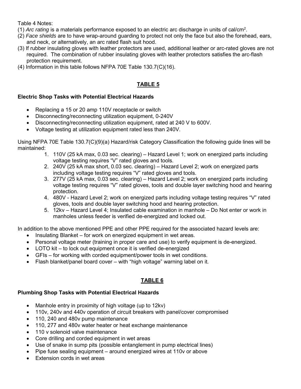#### Table 4 Notes:

- (1) *Arc rating* is a materials performance exposed to an electric arc discharge in units of cal/cm2 .
- (2) *Face shields* are to have wrap-around guarding to protect not only the face but also the forehead, ears, and neck, or alternatively, an arc rated flash suit hood.
- (3) If rubber insulating gloves with leather protectors are used, additional leather or arc-rated gloves are not required. The combination of rubber insulating gloves with leather protectors satisfies the arc-flash protection requirement.
- (4) Information in this table follows NFPA 70E Table 130.7(C)(16).

# **TABLE 5**

#### **Electric Shop Tasks with Potential Electrical Hazards**

- Replacing a 15 or 20 amp 110V receptacle or switch
- Disconnecting/reconnecting utilization equipment, 0-240V
- Disconnecting/reconnecting utilization equipment, rated at 240 V to 600V.
- Voltage testing at utilization equipment rated less than 240V.

Using NFPA 70E Table 130.7(C)(9)(a) Hazard/risk Category Classification the following guide lines will be maintained:

- 1. 110V (25 kA max, 0.03 sec. clearing) Hazard Level 1; work on energized parts including voltage testing requires "V" rated gloves and tools.
- 2. 240V (25 kA max short, 0.03 sec. clearing) Hazard Level 2; work on energized parts including voltage testing requires "V" rated gloves and tools.
- 3. 277V (25 kA max, 0.03 sec. clearing) Hazard Level 2; work on energized parts including voltage testing requires "V" rated gloves, tools and double layer switching hood and hearing protection.
- 4. 480V Hazard Level 2; work on energized parts including voltage testing requires "V" rated gloves, tools and double layer switching hood and hearing protection.
- 5. 12kv Hazard Level 4; Insulated cable examination in manhole Do Not enter or work in manholes unless feeder is verified de-energized and locked out.

In addition to the above mentioned PPE and other PPE required for the associated hazard levels are:

- Insulating Blanket for work on energized equipment in wet areas.
- Personal voltage meter (training in proper care and use) to verify equipment is de-energized.
- LOTO kit to lock out equipment once it is verified de-energized
- GFIs for working with corded equipment/power tools in wet conditions.
- Flash blanket/panel board cover with "high voltage" warning label on it.

# **TABLE 6**

#### **Plumbing Shop Tasks with Potential Electrical Hazards**

- Manhole entry in proximity of high voltage (up to 12kv)
- 110v, 240v and 440v operation of circuit breakers with panel/cover compromised
- 110, 240 and 480v pump maintenance
- 110, 277 and 480v water heater or heat exchange maintenance
- 110 v solenoid valve maintenance
- Core drilling and corded equipment in wet areas
- Use of snake in sump pits (possible entanglement in pump electrical lines)
- Pipe fuse sealing equipment around energized wires at 110v or above
- Extension cords in wet areas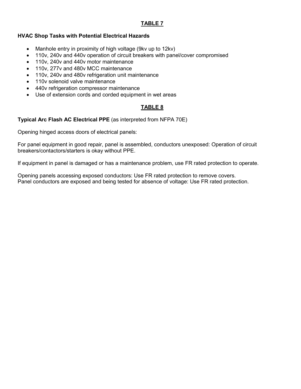### **TABLE 7**

#### **HVAC Shop Tasks with Potential Electrical Hazards**

- Manhole entry in proximity of high voltage (9kv up to 12kv)
- 110v, 240v and 440v operation of circuit breakers with panel/cover compromised
- 110v, 240v and 440v motor maintenance
- 110v, 277v and 480v MCC maintenance
- 110v, 240v and 480v refrigeration unit maintenance
- 110v solenoid valve maintenance
- 440v refrigeration compressor maintenance
- Use of extension cords and corded equipment in wet areas

#### **TABLE 8**

#### **Typical Arc Flash AC Electrical PPE** (as interpreted from NFPA 70E)

Opening hinged access doors of electrical panels:

For panel equipment in good repair, panel is assembled, conductors unexposed: Operation of circuit breakers/contactors/starters is okay without PPE.

If equipment in panel is damaged or has a maintenance problem, use FR rated protection to operate.

Opening panels accessing exposed conductors: Use FR rated protection to remove covers. Panel conductors are exposed and being tested for absence of voltage: Use FR rated protection.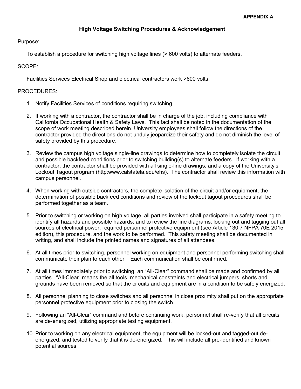#### **High Voltage Switching Procedures & Acknowledgement**

Purpose:

To establish a procedure for switching high voltage lines (> 600 volts) to alternate feeders.

SCOPE:

Facilities Services Electrical Shop and electrical contractors work >600 volts.

#### PROCEDURES:

- 1. Notify Facilities Services of conditions requiring switching.
- 2. If working with a contractor, the contractor shall be in charge of the job, including compliance with California Occupational Health & Safety Laws. This fact shall be noted in the documentation of the scope of work meeting described herein. University employees shall follow the directions of the contractor provided the directions do not unduly jeopardize their safety and do not diminish the level of safety provided by this procedure.
- 3. Review the campus high voltage single-line drawings to determine how to completely isolate the circuit and possible backfeed conditions prior to switching building(s) to alternate feeders. If working with a contractor, the contractor shall be provided with all single-line drawings, and a copy of the University's Lockout Tagout program (http:www.calstatela.edu/ehs). The contractor shall review this information with campus personnel.
- 4. When working with outside contractors, the complete isolation of the circuit and/or equipment, the determination of possible backfeed conditions and review of the lockout tagout procedures shall be performed together as a team.
- 5. Prior to switching or working on high voltage, all parties involved shall participate in a safety meeting to identify all hazards and possible hazards; and to review the line diagrams, locking out and tagging out all sources of electrical power, required personnel protective equipment (see Article 130.7 NFPA 70E 2015 edition), this procedure, and the work to be performed. This safety meeting shall be documented in writing, and shall include the printed names and signatures of all attendees.
- 6. At all times prior to switching, personnel working on equipment and personnel performing switching shall communicate their plan to each other. Each communication shall be confirmed.
- 7. At all times immediately prior to switching, an "All-Clear" command shall be made and confirmed by all parties. "All-Clear" means the all tools, mechanical constraints and electrical jumpers, shorts and grounds have been removed so that the circuits and equipment are in a condition to be safely energized.
- 8. All personnel planning to close switches and all personnel in close proximity shall put on the appropriate personnel protective equipment prior to closing the switch.
- 9. Following an "All-Clear" command and before continuing work, personnel shall re-verify that all circuits are de-energized, utilizing appropriate testing equipment.
- 10. Prior to working on any electrical equipment, the equipment will be locked-out and tagged-out deenergized, and tested to verify that it is de-energized. This will include all pre-identified and known potential sources.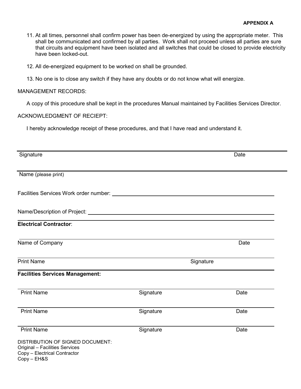#### **APPENDIX A**

- 11. At all times, personnel shall confirm power has been de-energized by using the appropriate meter. This shall be communicated and confirmed by all parties. Work shall not proceed unless all parties are sure that circuits and equipment have been isolated and all switches that could be closed to provide electricity have been locked-out.
- 12. All de-energized equipment to be worked on shall be grounded.
- 13. No one is to close any switch if they have any doubts or do not know what will energize.

#### MANAGEMENT RECORDS:

A copy of this procedure shall be kept in the procedures Manual maintained by Facilities Services Director.

#### ACKNOWLEDGMENT OF RECIEPT:

I hereby acknowledge receipt of these procedures, and that I have read and understand it.

| Signature                                                                                                         |           |           | Date |
|-------------------------------------------------------------------------------------------------------------------|-----------|-----------|------|
|                                                                                                                   |           |           |      |
| Name (please print)                                                                                               |           |           |      |
|                                                                                                                   |           |           |      |
|                                                                                                                   |           |           |      |
| <b>Electrical Contractor:</b>                                                                                     |           |           |      |
| Name of Company                                                                                                   |           |           | Date |
| <b>Print Name</b>                                                                                                 |           | Signature |      |
| <b>Facilities Services Management:</b>                                                                            |           |           |      |
| <b>Print Name</b>                                                                                                 | Signature |           | Date |
| <b>Print Name</b>                                                                                                 | Signature |           | Date |
| <b>Print Name</b>                                                                                                 | Signature |           | Date |
| DISTRIBUTION OF SIGNED DOCUMENT:<br>Original - Facilities Services<br>Copy - Electrical Contractor<br>Copy - EH&S |           |           |      |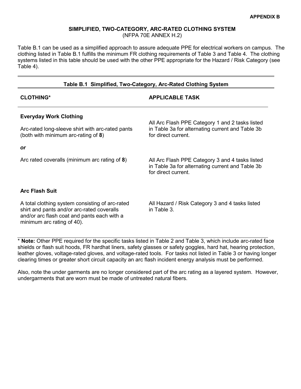#### **SIMPLIFIED, TWO-CATEGORY, ARC-RATED CLOTHING SYSTEM**

(NFPA 70E ANNEX H.2)

Table B.1 can be used as a simplified approach to assure adequate PPE for electrical workers on campus. The clothing listed in Table B.1 fulfills the minimum FR clothing requirements of Table 3 and Table 4. The clothing systems listed in this table should be used with the other PPE appropriate for the Hazard / Risk Category (see Table 4).

#### **Table B.1 Simplified, Two-Category, Arc-Rated Clothing System**

| <b>CLOTHING*</b>                                                                                                                                                           | <b>APPLICABLE TASK</b>                                                                                                     |
|----------------------------------------------------------------------------------------------------------------------------------------------------------------------------|----------------------------------------------------------------------------------------------------------------------------|
| <b>Everyday Work Clothing</b><br>Arc-rated long-sleeve shirt with arc-rated pants<br>(both with minimum arc-rating of 8)                                                   | All Arc Flash PPE Category 1 and 2 tasks listed<br>in Table 3a for alternating current and Table 3b<br>for direct current. |
| <b>or</b>                                                                                                                                                                  |                                                                                                                            |
| Arc rated coveralls (minimum arc rating of 8)                                                                                                                              | All Arc Flash PPE Category 3 and 4 tasks listed<br>in Table 3a for alternating current and Table 3b<br>for direct current. |
| <b>Arc Flash Suit</b>                                                                                                                                                      |                                                                                                                            |
| A total clothing system consisting of arc-rated<br>shirt and pants and/or arc-rated coveralls<br>and/or arc flash coat and pants each with a<br>minimum arc rating of 40). | All Hazard / Risk Category 3 and 4 tasks listed<br>in Table 3.                                                             |

\* **Note:** Other PPE required for the specific tasks listed in Table 2 and Table 3, which include arc-rated face shields or flash suit hoods, FR hardhat liners, safety glasses or safety goggles, hard hat, hearing protection, leather gloves, voltage-rated gloves, and voltage-rated tools. For tasks not listed in Table 3 or having longer clearing times or greater short circuit capacity an arc flash incident energy analysis must be performed.

Also, note the under garments are no longer considered part of the arc rating as a layered system. However, undergarments that are worn must be made of untreated natural fibers.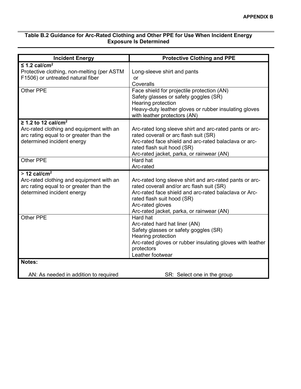#### **Table B.2 Guidance for Arc-Rated Clothing and Other PPE for Use When Incident Energy Exposure Is Determined**

| <b>Incident Energy</b>                                                                                                                               | <b>Protective Clothing and PPE</b>                                                                                                                                                                                                                           |
|------------------------------------------------------------------------------------------------------------------------------------------------------|--------------------------------------------------------------------------------------------------------------------------------------------------------------------------------------------------------------------------------------------------------------|
| $\leq$ 1.2 cal/cm <sup>2</sup><br>Protective clothing, non-melting (per ASTM<br>F1506) or untreated natural fiber                                    | Long-sleeve shirt and pants<br>or<br>Coveralls                                                                                                                                                                                                               |
| <b>Other PPE</b>                                                                                                                                     | Face shield for projectile protection (AN)<br>Safety glasses or safety goggles (SR)<br>Hearing protection<br>Heavy-duty leather gloves or rubber insulating gloves<br>with leather protectors (AN)                                                           |
| ≥ 1.2 to 12 cal/cm <sup>2</sup><br>Arc-rated clothing and equipment with an<br>arc rating equal to or greater than the<br>determined incident energy | Arc-rated long sleeve shirt and arc-rated pants or arc-<br>rated coverall or arc flash suit (SR)<br>Arc-rated face shield and arc-rated balaclava or arc-<br>rated flash suit hood (SR)<br>Arc-rated jacket, parka, or rainwear (AN)                         |
| Other PPE                                                                                                                                            | Hard hat<br>Arc-rated                                                                                                                                                                                                                                        |
| $>$ 12 cal/cm <sup>2</sup><br>Arc-rated clothing and equipment with an<br>arc rating equal to or greater than the<br>determined incident energy      | Arc-rated long sleeve shirt and arc-rated pants or arc-<br>rated coverall and/or arc flash suit (SR)<br>Arc-rated face shield and arc-rated balaclava or Arc-<br>rated flash suit hood (SR)<br>Arc-rated gloves<br>Arc-rated jacket, parka, or rainwear (AN) |
| <b>Other PPE</b>                                                                                                                                     | Hard hat<br>Arc-rated hard hat liner (AN)<br>Safety glasses or safety goggles (SR)<br>Hearing protection<br>Arc-rated gloves or rubber insulating gloves with leather<br>protectors<br>Leather footwear                                                      |
| Notes:                                                                                                                                               |                                                                                                                                                                                                                                                              |
| AN: As needed in addition to required                                                                                                                | SR: Select one in the group                                                                                                                                                                                                                                  |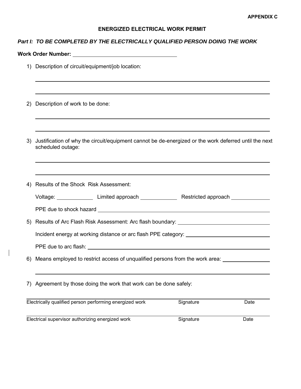#### **ENERGIZED ELECTRICAL WORK PERMIT**

#### *Part I: TO BE COMPLETED BY THE ELECTRICALLY QUALIFIED PERSON DOING THE WORK*

|  | <b>Work Order Number:</b> |  |
|--|---------------------------|--|
|  |                           |  |

 $\overline{a}$ 

 $\overline{\phantom{a}}$ 

- 1) Description of circuit/equipment/job location:
- 2) Description of work to be done:
- 3) Justification of why the circuit/equipment cannot be de-energized or the work deferred until the next scheduled outage:

| 4) Results of the Shock Risk Assessment:                |                                                                                            |           |      |
|---------------------------------------------------------|--------------------------------------------------------------------------------------------|-----------|------|
|                                                         |                                                                                            |           |      |
|                                                         |                                                                                            |           |      |
|                                                         | 5) Results of Arc Flash Risk Assessment: Arc flash boundary: ___________________           |           |      |
|                                                         | Incident energy at working distance or arc flash PPE category: __________________          |           |      |
|                                                         |                                                                                            |           |      |
|                                                         | 6) Means employed to restrict access of unqualified persons from the work area: __________ |           |      |
|                                                         |                                                                                            |           |      |
|                                                         | 7) Agreement by those doing the work that work can be done safely:                         |           |      |
| Electrically qualified person performing energized work |                                                                                            | Signature | Date |
| Electrical supervisor authorizing energized work        |                                                                                            | Signature | Date |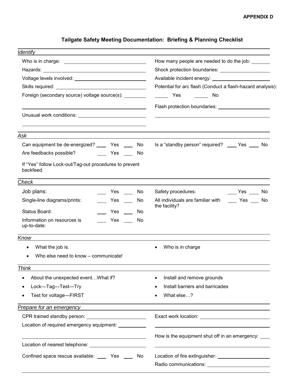# **Tailgate Safety Meeting Documentation: Briefing & Planning Checklist**

| <b>Identify</b>                                                                                                                                                                                                                      |                                                                                                     |  |
|--------------------------------------------------------------------------------------------------------------------------------------------------------------------------------------------------------------------------------------|-----------------------------------------------------------------------------------------------------|--|
|                                                                                                                                                                                                                                      | How many people are needed to do the job: _______                                                   |  |
|                                                                                                                                                                                                                                      | Potential for arc flash (Conduct a flash-hazard analysis):<br><b>Example ST</b><br>in a shekarar No |  |
| Voltage levels involved: University of the University of the University of the University of the University of                                                                                                                       |                                                                                                     |  |
|                                                                                                                                                                                                                                      |                                                                                                     |  |
| Foreign (secondary source) voltage source(s): _________                                                                                                                                                                              |                                                                                                     |  |
|                                                                                                                                                                                                                                      |                                                                                                     |  |
| Unusual work conditions: Unusual Management Conditions:                                                                                                                                                                              |                                                                                                     |  |
|                                                                                                                                                                                                                                      |                                                                                                     |  |
| the control of the control of the control of the control of the control of the control of the control of the control of the control of the control of the control of the control of the control of the control of the control<br>Ask |                                                                                                     |  |
| Can equipment be de-energized? ______ Yes _____<br>No                                                                                                                                                                                | Is a "standby person" required? ____ Yes ____ No                                                    |  |
| Are feedbacks possible?<br><b>Example SER</b><br>No.                                                                                                                                                                                 |                                                                                                     |  |
| If "Yes" follow Lock-out/Tag-out procedures to prevent<br>backfeed.                                                                                                                                                                  |                                                                                                     |  |
| Check                                                                                                                                                                                                                                |                                                                                                     |  |
| Job plans:<br>Yes the control<br>No                                                                                                                                                                                                  | Safety procedures:<br>No Yes No                                                                     |  |
| Single-line diagrams/prints:<br>Yes $\_\_$<br>No                                                                                                                                                                                     | All individuals are familiar with<br>No Ves No                                                      |  |
| Status Board:<br>Yes<br>No                                                                                                                                                                                                           | the facility?                                                                                       |  |
| Information on resources is<br>Yes<br>No<br>up-to-date:                                                                                                                                                                              |                                                                                                     |  |
| Know                                                                                                                                                                                                                                 |                                                                                                     |  |
| What the job is.                                                                                                                                                                                                                     | Who is in charge                                                                                    |  |
| Who else need to know – communicate!                                                                                                                                                                                                 |                                                                                                     |  |
| <b>Think</b>                                                                                                                                                                                                                         |                                                                                                     |  |
| About the unexpected event What if?<br>$\bullet$                                                                                                                                                                                     | Install and remove grounds                                                                          |  |
| Lock-Tag-Test-Try                                                                                                                                                                                                                    | Install barriers and barricades                                                                     |  |
| Test for voltage-FIRST                                                                                                                                                                                                               | What else?                                                                                          |  |
| <b>Prepare for an emergency</b>                                                                                                                                                                                                      |                                                                                                     |  |
| CPR trained standby person: ___________________________                                                                                                                                                                              |                                                                                                     |  |
| Location of required emergency equipment: ___________                                                                                                                                                                                |                                                                                                     |  |
|                                                                                                                                                                                                                                      | How is the equipment shut off in an emergency: ____                                                 |  |
|                                                                                                                                                                                                                                      |                                                                                                     |  |
| Confined space rescue available: _____ Yes ____<br>No.                                                                                                                                                                               |                                                                                                     |  |
|                                                                                                                                                                                                                                      |                                                                                                     |  |
|                                                                                                                                                                                                                                      |                                                                                                     |  |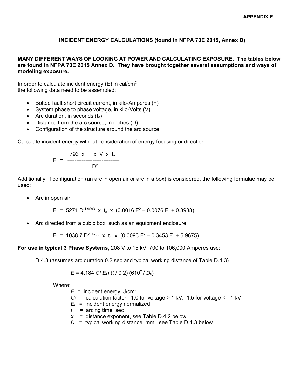## **INCIDENT ENERGY CALCULATIONS (found in NFPA 70E 2015, Annex D)**

#### **MANY DIFFERENT WAYS OF LOOKING AT POWER AND CALCULATING EXPOSURE. The tables below are found in NFPA 70E 2015 Annex D. They have brought together several assumptions and ways of modeling exposure.**

In order to calculate incident energy  $(E)$  in cal/cm<sup>2</sup> the following data need to be assembled:

- Bolted fault short circuit current, in kilo-Amperes (F)
- System phase to phase voltage, in kilo-Volts (V)
- Arc duration, in seconds  $(t_a)$
- Distance from the arc source, in inches (D)
- Configuration of the structure around the arc source

Calculate incident energy without consideration of energy focusing or direction:

$$
E = \frac{793 \times F \times V \times t_a}{D^2}
$$

Additionally, if configuration (an arc in open air or arc in a box) is considered, the following formulae may be used:

• Arc in open air

 $E = 5271 D^{-1.9593} \times t_a \times (0.0016 F^2 - 0.0076 F + 0.8938)$ 

• Arc directed from a cubic box, such as an equipment enclosure

E = 1038.7 D<sup>-1.4738</sup> x t<sub>a</sub> x (0.0093 F<sup>2</sup> - 0.3453 F + 5.9675)

**For use in typical 3 Phase Systems**, 208 V to 15 kV, 700 to 106,000 Amperes use:

D.4.3 (assumes arc duration 0.2 sec and typical working distance of Table D.4.3)

$$
E = 4.184 \text{ Cf} \text{ En } (t/0.2) (610^x / D_x)
$$

Where:

 $E =$  incident energy,  $J/cm<sup>2</sup>$ 

- $C_f$  = calculation factor 1.0 for voltage > 1 kV, 1.5 for voltage  $\leq$  1 kV
- $E_n$  = incident energy normalized
- *t* = arcing time, sec
- $x =$  distance exponent, see Table D.4.2 below
- *D* = typical working distance, mm see Table D.4.3 below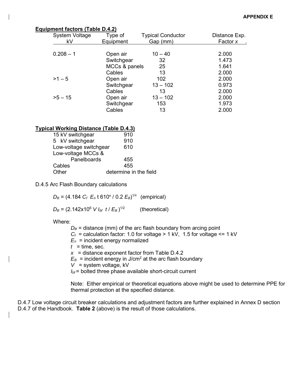#### **Equipment factors (Table D.4.2)**

| <b>System Voltage</b> | Type of       | <b>Typical Conductor</b> | Distance Exp. |
|-----------------------|---------------|--------------------------|---------------|
| kV                    | Equipment     | Gap (mm)                 | Factor x      |
|                       |               |                          |               |
| $0.208 - 1$           | Open air      | $10 - 40$                | 2.000         |
|                       | Switchgear    | 32                       | 1.473         |
|                       | MCCs & panels | 25                       | 1.641         |
|                       | Cables        | 13                       | 2.000         |
| $>1 - 5$              | Open air      | 102                      | 2.000         |
|                       | Switchgear    | $13 - 102$               | 0.973         |
|                       | Cables        | 13                       | 2.000         |
| $>5 - 15$             | Open air      | $13 - 102$               | 2.000         |
|                       | Switchgear    | 153                      | 1.973         |
|                       | Cables        | 13                       | 2.000         |
|                       |               |                          |               |

#### **Typical Working Distance (Table D.4.3)**

| 15 kV switchgear       | 910                    |
|------------------------|------------------------|
| 5 kV switchgear        | 910                    |
| Low-voltage switchgear | 610                    |
| Low-voltage MCCs &     |                        |
| Panelboards            | 455                    |
| Cables                 | 455                    |
| Other                  | determine in the field |

#### D.4.5 Arc Flash Boundary calculations

 $D_B = (4.184 \, \text{C}_f \, \text{E}_n \, \text{t} \, 610^{\text{x}} \, \text{/} \, 0.2 \, \text{E}_B)^{1/x}$  (empirical)

 $D_B = (2.142 \times 10^6 \text{ V} \text{I}_{\text{bf}} \text{ t} / E_B)^{1/2}$ (theoretical)

Where:

 $D_B$  = distance (mm) of the arc flash boundary from arcing point

 $C_f$  = calculation factor: 1.0 for voltage > 1 kV, 1.5 for voltage <= 1 kV

 $E_n$  = incident energy normalized

 $t =$  time, sec.

 $x =$  distance exponent factor from Table D.4.2

 $E_B$  = incident energy in J/cm<sup>2</sup> at the arc flash boundary

 $V =$  system voltage,  $kV$ 

*I<sub>bf</sub>* = bolted three phase available short-circuit current

Note: Either empirical or theoretical equations above might be used to determine PPE for thermal protection at the specified distance.

D.4.7 Low voltage circuit breaker calculations and adjustment factors are further explained in Annex D section D.4.7 of the Handbook. **Table 2** (above) is the result of those calculations.